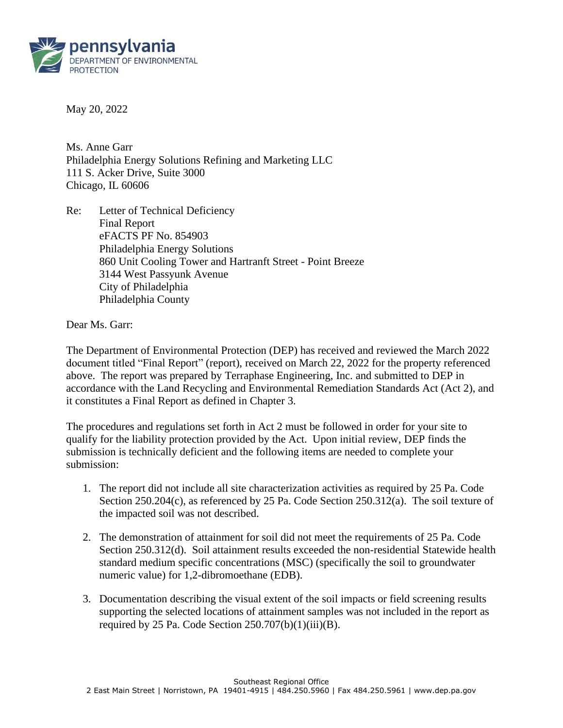

May 20, 2022

Ms. Anne Garr Philadelphia Energy Solutions Refining and Marketing LLC 111 S. Acker Drive, Suite 3000 Chicago, IL 60606

Re: Letter of Technical Deficiency Final Report eFACTS PF No. 854903 Philadelphia Energy Solutions 860 Unit Cooling Tower and Hartranft Street - Point Breeze 3144 West Passyunk Avenue City of Philadelphia Philadelphia County

Dear Ms. Garr:

The Department of Environmental Protection (DEP) has received and reviewed the March 2022 document titled "Final Report" (report), received on March 22, 2022 for the property referenced above. The report was prepared by Terraphase Engineering, Inc. and submitted to DEP in accordance with the Land Recycling and Environmental Remediation Standards Act (Act 2), and it constitutes a Final Report as defined in Chapter 3.

The procedures and regulations set forth in Act 2 must be followed in order for your site to qualify for the liability protection provided by the Act. Upon initial review, DEP finds the submission is technically deficient and the following items are needed to complete your submission:

- 1. The report did not include all site characterization activities as required by 25 Pa. Code Section 250.204(c), as referenced by 25 Pa. Code Section 250.312(a). The soil texture of the impacted soil was not described.
- 2. The demonstration of attainment for soil did not meet the requirements of 25 Pa. Code Section 250.312(d). Soil attainment results exceeded the non-residential Statewide health standard medium specific concentrations (MSC) (specifically the soil to groundwater numeric value) for 1,2-dibromoethane (EDB).
- 3. Documentation describing the visual extent of the soil impacts or field screening results supporting the selected locations of attainment samples was not included in the report as required by 25 Pa. Code Section  $250.707(b)(1)(iii)(B)$ .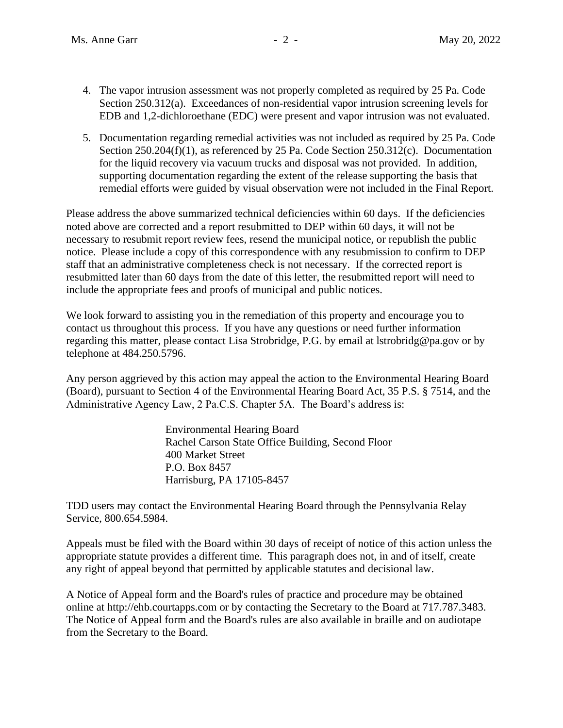- 4. The vapor intrusion assessment was not properly completed as required by 25 Pa. Code Section 250.312(a). Exceedances of non-residential vapor intrusion screening levels for EDB and 1,2-dichloroethane (EDC) were present and vapor intrusion was not evaluated.
- 5. Documentation regarding remedial activities was not included as required by 25 Pa. Code Section 250.204(f)(1), as referenced by 25 Pa. Code Section 250.312(c). Documentation for the liquid recovery via vacuum trucks and disposal was not provided. In addition, supporting documentation regarding the extent of the release supporting the basis that remedial efforts were guided by visual observation were not included in the Final Report.

Please address the above summarized technical deficiencies within 60 days. If the deficiencies noted above are corrected and a report resubmitted to DEP within 60 days, it will not be necessary to resubmit report review fees, resend the municipal notice, or republish the public notice. Please include a copy of this correspondence with any resubmission to confirm to DEP staff that an administrative completeness check is not necessary. If the corrected report is resubmitted later than 60 days from the date of this letter, the resubmitted report will need to include the appropriate fees and proofs of municipal and public notices.

We look forward to assisting you in the remediation of this property and encourage you to contact us throughout this process. If you have any questions or need further information regarding this matter, please contact Lisa Strobridge, P.G. by email at lstrobridg@pa.gov or by telephone at 484.250.5796.

Any person aggrieved by this action may appeal the action to the Environmental Hearing Board (Board), pursuant to Section 4 of the Environmental Hearing Board Act, 35 P.S. § 7514, and the Administrative Agency Law, 2 Pa.C.S. Chapter 5A. The Board's address is:

> Environmental Hearing Board Rachel Carson State Office Building, Second Floor 400 Market Street P.O. Box 8457 Harrisburg, PA 17105-8457

TDD users may contact the Environmental Hearing Board through the Pennsylvania Relay Service, 800.654.5984.

Appeals must be filed with the Board within 30 days of receipt of notice of this action unless the appropriate statute provides a different time. This paragraph does not, in and of itself, create any right of appeal beyond that permitted by applicable statutes and decisional law.

A Notice of Appeal form and the Board's rules of practice and procedure may be obtained online at http://ehb.courtapps.com or by contacting the Secretary to the Board at 717.787.3483. The Notice of Appeal form and the Board's rules are also available in braille and on audiotape from the Secretary to the Board.